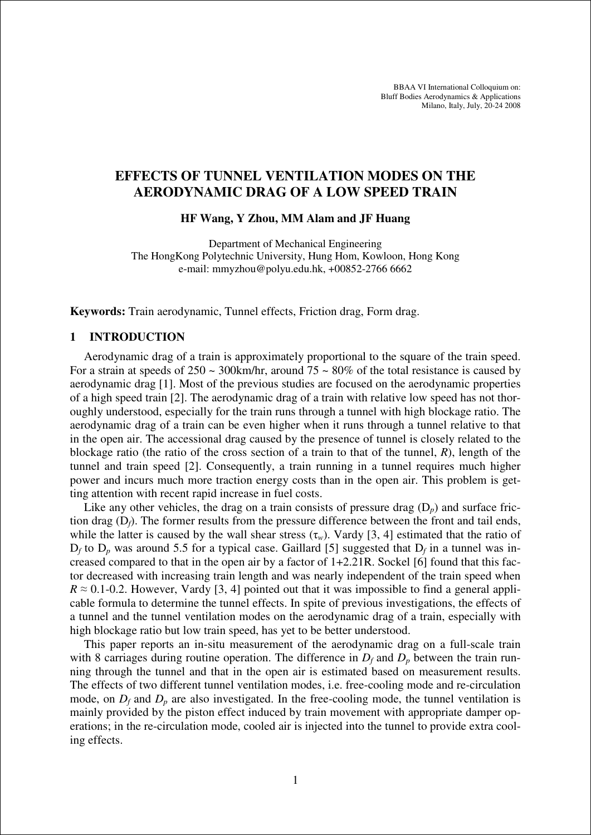BBAA VI International Colloquium on: Bluff Bodies Aerodynamics & Applications Milano, Italy, July, 20-24 2008

# **EFFECTS OF TUNNEL VENTILATION MODES ON THE AERODYNAMIC DRAG OF A LOW SPEED TRAIN**

**HF Wang, Y Zhou, MM Alam and JF Huang** 

Department of Mechanical Engineering The HongKong Polytechnic University, Hung Hom, Kowloon, Hong Kong e-mail: mmyzhou@polyu.edu.hk, +00852-2766 6662

**Keywords:** Train aerodynamic, Tunnel effects, Friction drag, Form drag.

# **1 INTRODUCTION**

Aerodynamic drag of a train is approximately proportional to the square of the train speed. For a strain at speeds of  $250 \sim 300$ km/hr, around  $75 \sim 80\%$  of the total resistance is caused by aerodynamic drag [1]. Most of the previous studies are focused on the aerodynamic properties of a high speed train [2]. The aerodynamic drag of a train with relative low speed has not thoroughly understood, especially for the train runs through a tunnel with high blockage ratio. The aerodynamic drag of a train can be even higher when it runs through a tunnel relative to that in the open air. The accessional drag caused by the presence of tunnel is closely related to the blockage ratio (the ratio of the cross section of a train to that of the tunnel, *R*), length of the tunnel and train speed [2]. Consequently, a train running in a tunnel requires much higher power and incurs much more traction energy costs than in the open air. This problem is getting attention with recent rapid increase in fuel costs.

Like any other vehicles, the drag on a train consists of pressure drag  $(D_p)$  and surface friction drag (D*f*). The former results from the pressure difference between the front and tail ends, while the latter is caused by the wall shear stress  $(\tau_w)$ . Vardy [3, 4] estimated that the ratio of  $D_f$  to  $D_p$  was around 5.5 for a typical case. Gaillard [5] suggested that  $D_f$  in a tunnel was increased compared to that in the open air by a factor of 1+2.21R. Sockel [6] found that this factor decreased with increasing train length and was nearly independent of the train speed when  $R \approx 0.1$ -0.2. However, Vardy [3, 4] pointed out that it was impossible to find a general applicable formula to determine the tunnel effects. In spite of previous investigations, the effects of a tunnel and the tunnel ventilation modes on the aerodynamic drag of a train, especially with high blockage ratio but low train speed, has yet to be better understood.

This paper reports an in-situ measurement of the aerodynamic drag on a full-scale train with 8 carriages during routine operation. The difference in  $D_f$  and  $D_p$  between the train running through the tunnel and that in the open air is estimated based on measurement results. The effects of two different tunnel ventilation modes, i.e. free-cooling mode and re-circulation mode, on  $D_f$  and  $D_p$  are also investigated. In the free-cooling mode, the tunnel ventilation is mainly provided by the piston effect induced by train movement with appropriate damper operations; in the re-circulation mode, cooled air is injected into the tunnel to provide extra cooling effects.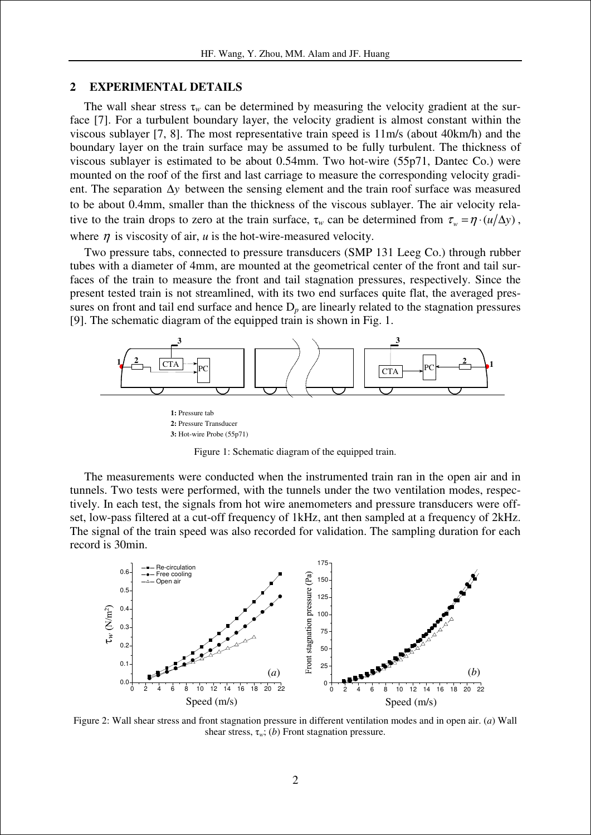# **2 EXPERIMENTAL DETAILS**

The wall shear stress  $\tau_w$  can be determined by measuring the velocity gradient at the surface [7]. For a turbulent boundary layer, the velocity gradient is almost constant within the viscous sublayer [7, 8]. The most representative train speed is 11m/s (about 40km/h) and the boundary layer on the train surface may be assumed to be fully turbulent. The thickness of viscous sublayer is estimated to be about 0.54mm. Two hot-wire (55p71, Dantec Co.) were mounted on the roof of the first and last carriage to measure the corresponding velocity gradient. The separation ∆*y* between the sensing element and the train roof surface was measured to be about 0.4mm, smaller than the thickness of the viscous sublayer. The air velocity relative to the train drops to zero at the train surface,  $\tau_w$  can be determined from  $\tau_w = \eta \cdot (u/\Delta y)$ , where  $\eta$  is viscosity of air, *u* is the hot-wire-measured velocity.

Two pressure tabs, connected to pressure transducers (SMP 131 Leeg Co.) through rubber tubes with a diameter of 4mm, are mounted at the geometrical center of the front and tail surfaces of the train to measure the front and tail stagnation pressures, respectively. Since the present tested train is not streamlined, with its two end surfaces quite flat, the averaged pressures on front and tail end surface and hence  $D_p$  are linearly related to the stagnation pressures [9]. The schematic diagram of the equipped train is shown in Fig. 1.



**3:** Hot-wire Probe (55p71)

Figure 1: Schematic diagram of the equipped train.

The measurements were conducted when the instrumented train ran in the open air and in tunnels. Two tests were performed, with the tunnels under the two ventilation modes, respectively. In each test, the signals from hot wire anemometers and pressure transducers were offset, low-pass filtered at a cut-off frequency of 1kHz, ant then sampled at a frequency of 2kHz. The signal of the train speed was also recorded for validation. The sampling duration for each record is 30min.



Figure 2: Wall shear stress and front stagnation pressure in different ventilation modes and in open air. (*a*) Wall shear stress,  $\tau_w$ ; (*b*) Front stagnation pressure.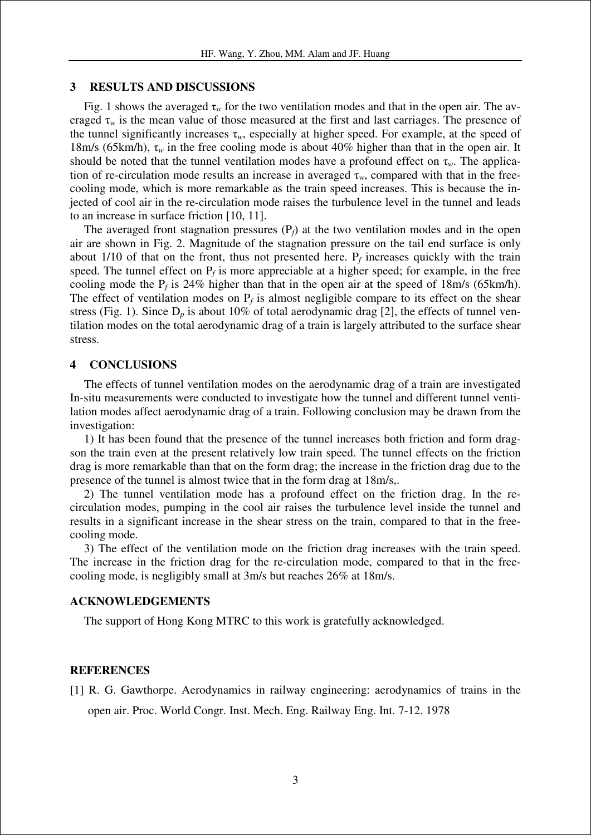## **3 RESULTS AND DISCUSSIONS**

Fig. 1 shows the averaged  $\tau_w$  for the two ventilation modes and that in the open air. The averaged  $\tau_w$  is the mean value of those measured at the first and last carriages. The presence of the tunnel significantly increases  $\tau_w$ , especially at higher speed. For example, at the speed of 18m/s (65km/h), τ*w* in the free cooling mode is about 40% higher than that in the open air. It should be noted that the tunnel ventilation modes have a profound effect on  $\tau_w$ . The application of re-circulation mode results an increase in averaged  $\tau_w$ , compared with that in the freecooling mode, which is more remarkable as the train speed increases. This is because the injected of cool air in the re-circulation mode raises the turbulence level in the tunnel and leads to an increase in surface friction [10, 11].

The averaged front stagnation pressures  $(P_f)$  at the two ventilation modes and in the open air are shown in Fig. 2. Magnitude of the stagnation pressure on the tail end surface is only about  $1/10$  of that on the front, thus not presented here.  $P_f$  increases quickly with the train speed. The tunnel effect on  $P_f$  is more appreciable at a higher speed; for example, in the free cooling mode the  $P_f$  is 24% higher than that in the open air at the speed of 18m/s (65km/h). The effect of ventilation modes on  $P_f$  is almost negligible compare to its effect on the shear stress (Fig. 1). Since  $D_p$  is about 10% of total aerodynamic drag [2], the effects of tunnel ventilation modes on the total aerodynamic drag of a train is largely attributed to the surface shear stress.

## **4 CONCLUSIONS**

The effects of tunnel ventilation modes on the aerodynamic drag of a train are investigated In-situ measurements were conducted to investigate how the tunnel and different tunnel ventilation modes affect aerodynamic drag of a train. Following conclusion may be drawn from the investigation:

1) It has been found that the presence of the tunnel increases both friction and form dragson the train even at the present relatively low train speed. The tunnel effects on the friction drag is more remarkable than that on the form drag; the increase in the friction drag due to the presence of the tunnel is almost twice that in the form drag at 18m/s,.

2) The tunnel ventilation mode has a profound effect on the friction drag. In the recirculation modes, pumping in the cool air raises the turbulence level inside the tunnel and results in a significant increase in the shear stress on the train, compared to that in the freecooling mode.

3) The effect of the ventilation mode on the friction drag increases with the train speed. The increase in the friction drag for the re-circulation mode, compared to that in the freecooling mode, is negligibly small at 3m/s but reaches 26% at 18m/s.

#### **ACKNOWLEDGEMENTS**

The support of Hong Kong MTRC to this work is gratefully acknowledged.

## **REFERENCES**

[1] R. G. Gawthorpe. Aerodynamics in railway engineering: aerodynamics of trains in the open air. Proc. World Congr. Inst. Mech. Eng. Railway Eng. Int. 7-12. 1978